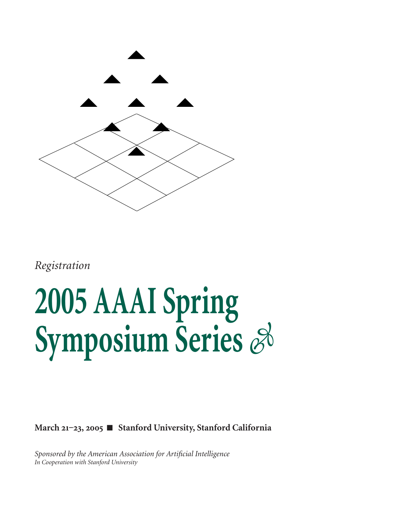

*Registration*

### **2005 AAAI Spring Symposium Series**

March 21-23, 2005 ■ Stanford University, Stanford California

*Sponsored by the American Association for Artificial Intelligence In Cooperation with Stanford University*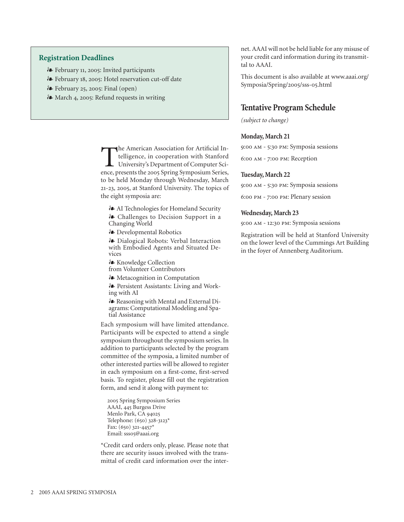#### **Registration Deadlines**

- February , : Invited participants
- Lebruary 18, 2005: Hotel reservation cut-off date
- 8 February 25, 2005: Final (open)
- $\bullet$  March 4, 2005: Refund requests in writing

The American Association for Artificial Intelligence, in cooperation with Stanford University's Department of Computer Science, presents the 2005 Spring Symposium Series, to be held Monday through Wednesday, March 21-23, 2005, at Stanford University. The topics of the eight symposia are:

- AI Technologies for Homeland Security - Challenges to Decision Support in a Changing World

- Developmental Robotics

Dialogical Robots: Verbal Interaction with Embodied Agents and Situated Devices

- Knowledge Collection
- from Volunteer Contributors
- Metacognition in Computation

- Persistent Assistants: Living and Working with AI

- Reasoning with Mental and External Diagrams: Computational Modeling and Spatial Assistance

Each symposium will have limited attendance. Participants will be expected to attend a single symposium throughout the symposium series. In addition to participants selected by the program committee of the symposia, a limited number of other interested parties will be allowed to register in each symposium on a first-come, first-served basis. To register, please fill out the registration form, and send it along with payment to:

 Spring Symposium Series AAAI, 445 Burgess Drive Menlo Park, CA Telephone: (650) 328-3123\* Fax:  $(650)$  321-4457<sup>\*</sup> Email: ssso5@aaai.org

\*Credit card orders only, please. Please note that there are security issues involved with the transmittal of credit card information over the internet. AAAI will not be held liable for any misuse of your credit card information during its transmittal to AAAI.

This document is also available at www.aaai.org/ Symposia/Spring/2005/sss-05.html

#### **Tentative Program Schedule**

*(subject to change)*

#### **Monday, March 21**

9:00 AM - 5:30 PM: Symposia sessions

6:00 AM - 7:00 PM: Reception

#### **Tuesday, March 22**

9:00 AM - 5:30 PM: Symposia sessions

6:00 PM - 7:00 PM: Plenary session

#### **Wednesday, March 23**

9:00 AM - 12:30 PM: Symposia sessions

Registration will be held at Stanford University on the lower level of the Cummings Art Building in the foyer of Annenberg Auditorium.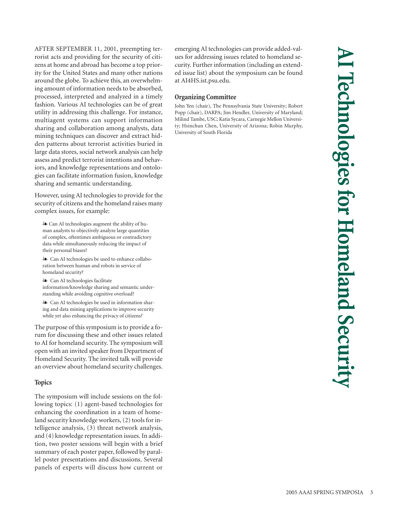AFTER SEPTEMBER 11, 2001, preempting terrorist acts and providing for the security of citizens at home and abroad has become a top priority for the United States and many other nations around the globe. To achieve this, an overwhelming amount of information needs to be absorbed, processed, interpreted and analyzed in a timely fashion. Various AI technologies can be of great utility in addressing this challenge. For instance, multiagent systems can support information sharing and collaboration among analysts, data mining techniques can discover and extract hidden patterns about terrorist activities buried in large data stores, social network analysis can help assess and predict terrorist intentions and behaviors, and knowledge representations and ontologies can facilitate information fusion, knowledge sharing and semantic understanding.

However, using AI technologies to provide for the security of citizens and the homeland raises many complex issues, for example:

- Can AI technologies augment the ability of human analysts to objectively analyze large quantities of complex, oftentimes ambiguous or contradictory data while simultaneously reducing the impact of their personal biases?

- Can AI technologies be used to enhance collaboration between human and robots in service of homeland security?

- Can AI technologies facilitate information/knowledge sharing and semantic understanding while avoiding cognitive overload?

- Can AI technologies be used in information sharing and data mining applications to improve security while yet also enhancing the privacy of citizens?

The purpose of this symposium is to provide a forum for discussing these and other issues related to AI for homeland security. The symposium will open with an invited speaker from Department of Homeland Security. The invited talk will provide an overview about homeland security challenges.

#### **Topics**

The symposium will include sessions on the following topics: (1) agent-based technologies for enhancing the coordination in a team of homeland security knowledge workers, (2) tools for intelligence analysis, (3) threat network analysis, and (4) knowledge representation issues. In addition, two poster sessions will begin with a brief summary of each poster paper, followed by parallel poster presentations and discussions. Several panels of experts will discuss how current or

emerging AI technologies can provide added-values for addressing issues related to homeland security. Further information (including an extended issue list) about the symposium can be found at AI4HS.ist.psu.edu.

#### **Organizing Committee**

John Yen (chair), The Pennsylvania State University; Robert Popp (chair), DARPA; Jim Hendler, University of Maryland; Milind Tambe, USC; Katia Sycara, Carnegie Mellon University; Hsinchun Chen, University of Arizona; Robin Murphy, University of South Florida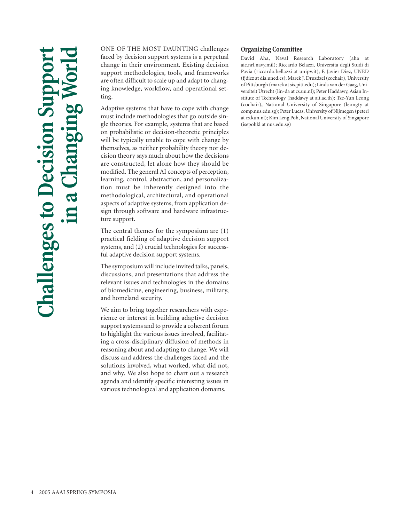ONE OF THE MOST DAUNTING challenges faced by decision support systems is a perpetual change in their environment. Existing decision support methodologies, tools, and frameworks are often difficult to scale up and adapt to changing knowledge, workflow, and operational setting.

Adaptive systems that have to cope with change must include methodologies that go outside single theories. For example, systems that are based on probabilistic or decision-theoretic principles will be typically unable to cope with change by themselves, as neither probability theory nor decision theory says much about how the decisions are constructed, let alone how they should be modified. The general AI concepts of perception, learning, control, abstraction, and personalization must be inherently designed into the methodological, architectural, and operational aspects of adaptive systems, from application design through software and hardware infrastructure support.

The central themes for the symposium are (1) practical fielding of adaptive decision support systems, and (2) crucial technologies for successful adaptive decision support systems.

The symposium will include invited talks, panels, discussions, and presentations that address the relevant issues and technologies in the domains of biomedicine, engineering, business, military, and homeland security.

We aim to bring together researchers with experience or interest in building adaptive decision support systems and to provide a coherent forum to highlight the various issues involved, facilitating a cross-disciplinary diffusion of methods in reasoning about and adapting to change. We will discuss and address the challenges faced and the solutions involved, what worked, what did not, and why. We also hope to chart out a research agenda and identify specific interesting issues in various technological and application domains.

#### **Organizing Committee**

David Aha, Naval Research Laboratory (aha at aic.nrl.navy.mil); Riccardo Belazzi, Universita degli Studi di Pavia (riccardo.bellazzi at unipv.it); F. Javier Diez, UNED (fjdiez at dia.uned.es); Marek J. Druzdzel (cochair), University of Pittsburgh (marek at sis.pitt.edu); Linda van der Gaag, Universiteit Utrecht (lin-da at cs.uu.nl); Peter Haddawy, Asian Institute of Technology (haddawy at ait.ac.th); Tze-Yun Leong (cochair), National University of Singapore (leongty at comp.nus.edu.sg); Peter Lucas, University of Nijmegen (peterl at cs.kun.nl); Kim Leng Poh, National University of Singapore (isepohkl at nus.edu.sg)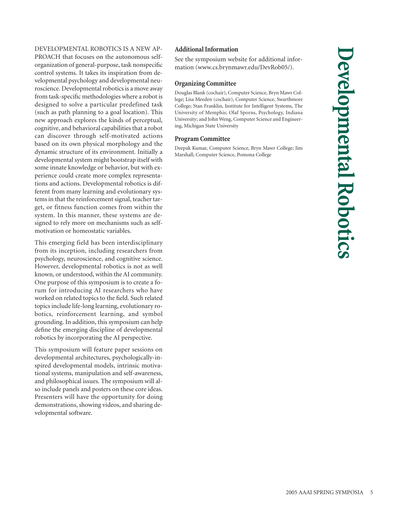#### DEVELOPMENTAL ROBOTICS IS A NEW AP-

PROACH that focuses on the autonomous selforganization of general-purpose, task nonspecific control systems. It takes its inspiration from developmental psychology and developmental neuroscience. Developmental robotics is a move away from task-specific methodologies where a robot is designed to solve a particular predefined task (such as path planning to a goal location). This new approach explores the kinds of perceptual, cognitive, and behavioral capabilities that a robot can discover through self-motivated actions based on its own physical morphology and the dynamic structure of its environment. Initially a developmental system might bootstrap itself with some innate knowledge or behavior, but with experience could create more complex representations and actions. Developmental robotics is different from many learning and evolutionary systems in that the reinforcement signal, teacher target, or fitness function comes from within the system. In this manner, these systems are designed to rely more on mechanisms such as selfmotivation or homeostatic variables.

This emerging field has been interdisciplinary from its inception, including researchers from psychology, neuroscience, and cognitive science. However, developmental robotics is not as well known, or understood, within the AI community. One purpose of this symposium is to create a forum for introducing AI researchers who have worked on related topics to the field. Such related topics include life-long learning, evolutionary robotics, reinforcement learning, and symbol grounding. In addition, this symposium can help define the emerging discipline of developmental robotics by incorporating the AI perspective.

This symposium will feature paper sessions on developmental architectures, psychologically-inspired developmental models, intrinsic motivational systems, manipulation and self-awareness, and philosophical issues. The symposium will also include panels and posters on these core ideas. Presenters will have the opportunity for doing demonstrations, showing videos, and sharing developmental software.

#### **Additional Information**

See the symposium website for additional information (www.cs.brynmawr.edu/DevRob05/).

#### **Organizing Committee**

Douglas Blank (cochair), Computer Science, Bryn Mawr College; Lisa Meeden (cochair), Computer Science, Swarthmore College; Stan Franklin, Institute for Intelligent Systems, The University of Memphis; Olaf Sporns, Psychology, Indiana University; and John Weng, Computer Science and Engineering, Michigan State University

#### **Program Committee**

Deepak Kumar, Computer Science, Bryn Mawr College; Jim Marshall, Computer Science, Pomona College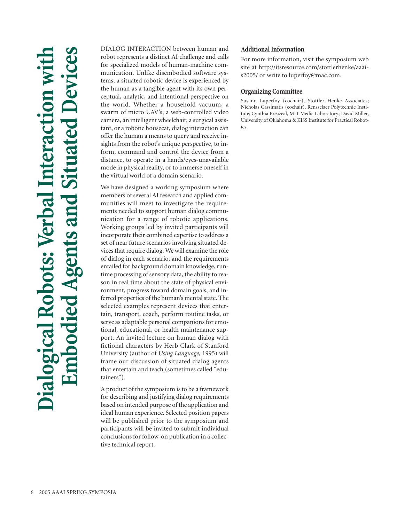# **Dialogical Robots: Verbal Interaction with Embodied Agents and Situated Devices Daired ialogical Robots: Verbal Interac Agents an** Ŧ

DIALOG INTERACTION between human and robot represents a distinct AI challenge and calls for specialized models of human-machine communication. Unlike disembodied software systems, a situated robotic device is experienced by the human as a tangible agent with its own perceptual, analytic, and intentional perspective on the world. Whether a household vacuum, a swarm of micro UAV's, a web-controlled video camera, an intelligent wheelchair, a surgical assistant, or a robotic housecat, dialog interaction can offer the human a means to query and receive insights from the robot's unique perspective, to inform, command and control the device from a distance, to operate in a hands/eyes-unavailable mode in physical reality, or to immerse oneself in the virtual world of a domain scenario.

We have designed a working symposium where members of several AI research and applied communities will meet to investigate the requirements needed to support human dialog communication for a range of robotic applications. Working groups led by invited participants will incorporate their combined expertise to address a set of near future scenarios involving situated devices that require dialog. We will examine the role of dialog in each scenario, and the requirements entailed for background domain knowledge, runtime processing of sensory data, the ability to reason in real time about the state of physical environment, progress toward domain goals, and inferred properties of the human's mental state. The selected examples represent devices that entertain, transport, coach, perform routine tasks, or serve as adaptable personal companions for emotional, educational, or health maintenance support. An invited lecture on human dialog with fictional characters by Herb Clark of Stanford University (author of *Using Language,* 1995) will frame our discussion of situated dialog agents that entertain and teach (sometimes called "edutainers").

A product of the symposium is to be a framework for describing and justifying dialog requirements based on intended purpose of the application and ideal human experience. Selected position papers will be published prior to the symposium and participants will be invited to submit individual conclusions for follow-on publication in a collective technical report.

#### **Additional Information**

For more information, visit the symposium web site at http://itsresource.com/stottlerhenke/aaais2005/ or write to luperfoy@mac.com.

#### **Organizing Committee**

Susann Luperfoy (cochair), Stottler Henke Associates; Nicholas Cassimatis (cochair), Rensselaer Polytechnic Institute; Cynthia Breazeal, MIT Media Laboratory; David Miller, University of Oklahoma & KISS Institute for Practical Robotics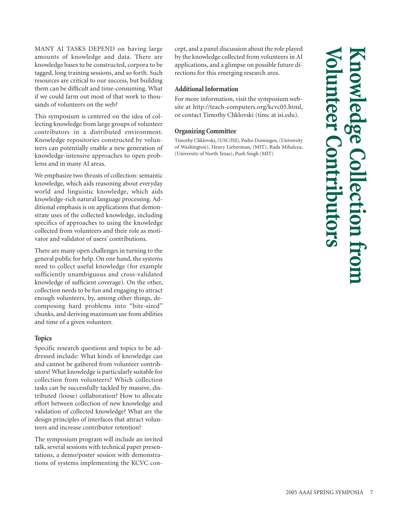MANY AI TASKS DEPEND on having large amounts of knowledge and data. There are knowledge bases to be constructed, corpora to be tagged, long training sessions, and so forth. Such resources are critical to our success, but building them can be difficult and time-consuming. What if we could farm out most of that work to thousands of volunteers on the web?

This symposium is centered on the idea of collecting knowledge from large groups of volunteer contributors in a distributed environment. Knowledge repositories constructed by volunteers can potentially enable a new generation of knowledge-intensive approaches to open problems and in many AI areas.

We emphasize two thrusts of collection: semantic knowledge, which aids reasoning about everyday world and linguistic knowledge, which aids knowledge-rich natural language processing. Additional emphasis is on applications that demonstrate uses of the collected knowledge, including specifics of approaches to using the knowledge collected from volunteers and their role as motivator and validator of users' contributions.

There are many open challenges in turning to the general public for help. On one hand, the systems need to collect useful knowledge (for example sufficiently unambiguous and cross-validated knowledge of sufficient coverage). On the other, collection needs to be fun and engaging to attract enough volunteers, by, among other things, decomposing hard problems into "bite-sized" chunks, and deriving maximum use from abilities and time of a given volunteer.

#### **Topics**

Specific research questions and topics to be addressed include: What kinds of knowledge can and cannot be gathered from volunteer contributors? What knowledge is particularly suitable for collection from volunteers? Which collection tasks can be successfully tackled by massive, distributed (loose) collaboration? How to allocate effort between collection of new knowledge and validation of collected knowledge? What are the design principles of interfaces that attract volunteers and increase contributor retention?

The symposium program will include an invited talk, several sessions with technical paper presentations, a demo/poster session with demonstrations of systems implementing the KCVC concept, and a panel discussion about the role played by the knowledge collected from volunteers in AI applications, and a glimpse on possible future directions for this emerging research area.

#### **Additional Information**

For more information, visit the symposium website at http://teach-computers.org/kcvc05.html, or contact Timothy Chklovski (timc at isi.edu).

#### **Organizing Committee**

Timothy Chklovski, (USC/ISI), Pedro Domingos, (University of Washington), Henry Lieberman, (MIT), Rada Mihalcea, (University of North Texas), Push Singh (MIT)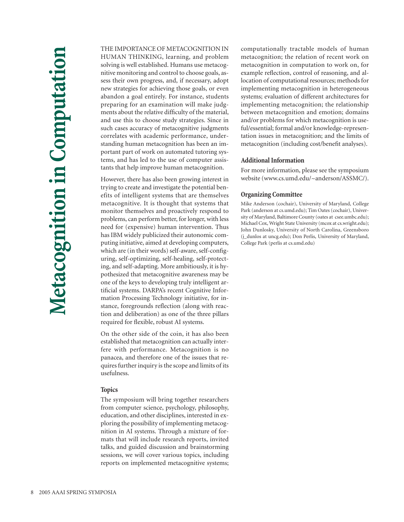THE IMPORTANCE OF METACOGNITION IN HUMAN THINKING, learning, and problem solving is well established. Humans use metacognitive monitoring and control to choose goals, assess their own progress, and, if necessary, adopt new strategies for achieving those goals, or even abandon a goal entirely. For instance, students preparing for an examination will make judgments about the relative difficulty of the material, and use this to choose study strategies. Since in such cases accuracy of metacognitive judgments correlates with academic performance, understanding human metacognition has been an important part of work on automated tutoring systems, and has led to the use of computer assistants that help improve human metacognition.

However, there has also been growing interest in trying to create and investigate the potential benefits of intelligent systems that are themselves metacognitive. It is thought that systems that monitor themselves and proactively respond to problems, can perform better, for longer, with less need for (expensive) human intervention. Thus has IBM widely publicized their autonomic computing initiative, aimed at developing computers, which are (in their words) self-aware, self-configuring, self-optimizing, self-healing, self-protecting, and self-adapting. More ambitiously, it is hypothesized that metacognitive awareness may be one of the keys to developing truly intelligent artificial systems. DARPA's recent Cognitive Information Processing Technology initiative, for instance, foregrounds reflection (along with reaction and deliberation) as one of the three pillars required for flexible, robust AI systems.

On the other side of the coin, it has also been established that metacognition can actually interfere with performance. Metacognition is no panacea, and therefore one of the issues that requires further inquiry is the scope and limits of its usefulness.

#### **Topics**

The symposium will bring together researchers from computer science, psychology, philosophy, education, and other disciplines, interested in exploring the possibility of implementing metacognition in AI systems. Through a mixture of formats that will include research reports, invited talks, and guided discussion and brainstorming sessions, we will cover various topics, including reports on implemented metacognitive systems; computationally tractable models of human metacognition; the relation of recent work on metacognition in computation to work on, for example reflection, control of reasoning, and allocation of computational resources; methods for implementing metacognition in heterogeneous systems; evaluation of different architectures for implementing metacognition; the relationship between metacognition and emotion; domains and/or problems for which metacognition is useful/essential; formal and/or knowledge-representation issues in metacognition; and the limits of metacognition (including cost/benefit analyses).

#### **Additional Information**

For more information, please see the symposium website (www.cs.umd.edu/~anderson/ASSMC/).

#### **Organizing Committee**

Mike Anderson (cochair), University of Maryland, College Park (anderson at cs.umd.edu); Tim Oates (cochair), University of Maryland, Baltimore County (oates at csee.umbc.edu); Michael Cox, Wright State University (mcox at cs.wright.edu); John Dunlosky, University of North Carolina, Greensboro (j\_dunlos at uncg.edu); Don Perlis, University of Maryland, College Park (perlis at cs.umd.edu)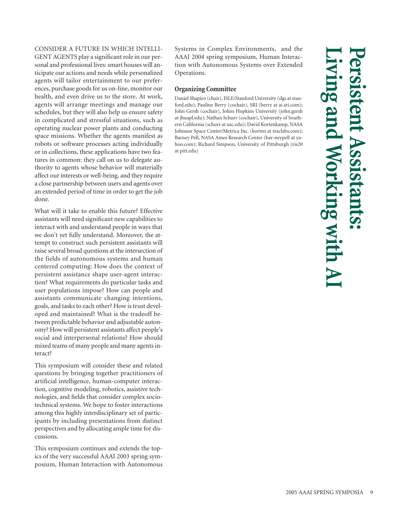#### CONSIDER A FUTURE IN WHICH INTELLI-

GENT AGENTS play a significant role in our personal and professional lives: smart houses will anticipate our actions and needs while personalized agents will tailor entertainment to our preferences, purchase goods for us on-line, monitor our health, and even drive us to the store. At work, agents will arrange meetings and manage our schedules, but they will also help us ensure safety in complicated and stressful situations, such as operating nuclear power plants and conducting space missions. Whether the agents manifest as robots or software processes acting individually or in collections, these applications have two features in common: they call on us to delegate authority to agents whose behavior will materially affect our interests or well-being, and they require a close partnership between users and agents over an extended period of time in order to get the job done.

What will it take to enable this future? Effective assistants will need significant new capabilities to interact with and understand people in ways that we don't yet fully understand. Moreover, the attempt to construct such persistent assistants will raise several broad questions at the intersection of the fields of autonomous systems and human centered computing: How does the context of persistent assistance shape user-agent interaction? What requirements do particular tasks and user populations impose? How can people and assistants communicate changing intentions, goals, and tasks to each other? How is trust developed and maintained? What is the tradeoff between predictable behavior and adjustable autonomy? How will persistent assistants affect people's social and interpersonal relations? How should mixed teams of many people and many agents interact?

This symposium will consider these and related questions by bringing together practitioners of artificial intelligence, human-computer interaction, cognitive modeling, robotics, assistive technologies, and fields that consider complex sociotechnical systems. We hope to foster interactions among this highly interdisciplinary set of participants by including presentations from distinct perspectives and by allocating ample time for discussions.

This symposium continues and extends the topics of the very successful AAAI 2003 spring symposium, Human Interaction with Autonomous Systems in Complex Environments, and the AAAI 2004 spring symposium, Human Interaction with Autonomous Systems over Extended Operations.

#### **Organizing Committee**

Daniel Shapiro (chair), ISLE/Stanford University (dgs at stanford.edu); Pauline Berry (cochair), SRI (berry at ai.sri.com); John Gersh (cochair), Johns Hopkins University (john.gersh at jhuapl.edu); Nathan Schurr (cochair), University of Southern California (schurr at usc.edu); David Kortenkamp, NASA Johnson Space Center/Metrica Inc. (korten at traclabs.com); Barney Pell, NASA Ames Research Center (bar-neypell at yahoo.com); Richard Simpson, University of Pittsburgh (ris20 at pitt.edu)

# **Living and Working with AI Persistent Assistants:**  ing and Working with tent Assis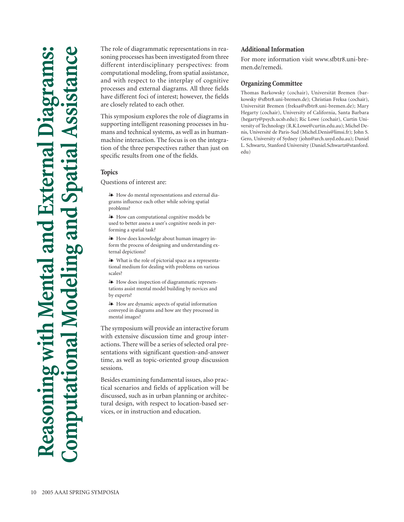**Reasoning with Mental and External Diagrams: Computational Modeling and Spatial Assistance** lental and External  $\overline{\mathbf{z}}$ **ng an** lode in n<sub>2</sub>

The role of diagrammatic representations in reasoning processes has been investigated from three different interdisciplinary perspectives: from computational modeling, from spatial assistance, and with respect to the interplay of cognitive processes and external diagrams. All three fields have different foci of interest; however, the fields are closely related to each other.

This symposium explores the role of diagrams in supporting intelligent reasoning processes in humans and technical systems, as well as in humanmachine interaction. The focus is on the integration of the three perspectives rather than just on specific results from one of the fields.

#### **Topics**

Questions of interest are:

- How do mental representations and external diagrams influence each other while solving spatial problems?

- How can computational cognitive models be used to better assess a user's cognitive needs in performing a spatial task?

- How does knowledge about human imagery inform the process of designing and understanding external depictions?

- What is the role of pictorial space as a representational medium for dealing with problems on various scales?

- How does inspection of diagrammatic representations assist mental model building by novices and by experts?

- How are dynamic aspects of spatial information conveyed in diagrams and how are they processed in mental images?

The symposium will provide an interactive forum with extensive discussion time and group interactions. There will be a series of selected oral presentations with significant question-and-answer time, as well as topic-oriented group discussion sessions.

Besides examining fundamental issues, also practical scenarios and fields of application will be discussed, such as in urban planning or architectural design, with respect to location-based services, or in instruction and education.

#### **Additional Information**

For more information visit www.sfbtr8.uni-bremen.de/remedi.

#### **Organizing Committee**

Thomas Barkowsky (cochair), Universität Bremen (barkowsky @sfbtr8.uni-bremen.de); Christian Freksa (cochair), Universität Bremen (freksa@sfbtr8.uni-bremen.de); Mary Hegarty (cochair), University of California, Santa Barbara (hegarty@psych.ucsb.edu); Ric Lowe (cochair), Curtin University of Technology (R.K.Lowe@curtin.edu.au); Michel Denis, Université de Paris-Sud (Michel.Denis@limsi.fr); John S. Gero, University of Sydney (john@arch.usyd.edu.au); Daniel L. Schwartz, Stanford University (Daniel.Schwartz@stanford. edu)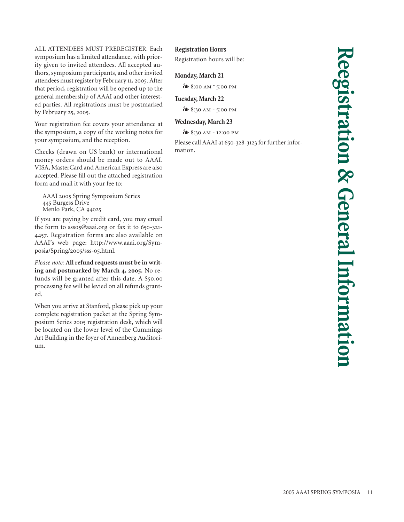ALL ATTENDEES MUST PREREGISTER. Each symposium has a limited attendance, with priority given to invited attendees. All accepted authors, symposium participants, and other invited attendees must register by February 11, 2005. After that period, registration will be opened up to the general membership of AAAI and other interested parties. All registrations must be postmarked by February 25, 2005.

Your registration fee covers your attendance at the symposium, a copy of the working notes for your symposium, and the reception.

Checks (drawn on US bank) or international money orders should be made out to AAAI. VISA, MasterCard and American Express are also accepted. Please fill out the attached registration form and mail it with your fee to:

AAAI 2005 Spring Symposium Series Burgess Drive Menlo Park, CA

If you are paying by credit card, you may email the form to  $ssso5@aaai.org$  or fax it to  $650-321$ -. Registration forms are also available on AAAI's web page: http://www.aaai.org/Symposia/Spring/2005/sss-05.html.

*Please note:* **All refund requests must be in writ**ing and postmarked by March 4, 2005. No refunds will be granted after this date. A  $$50.00$ processing fee will be levied on all refunds granted.

When you arrive at Stanford, please pick up your complete registration packet at the Spring Symposium Series 2005 registration desk, which will be located on the lower level of the Cummings Art Building in the foyer of Annenberg Auditorium.

#### **Registration Hours**

Registration hours will be:

#### **Monday, March 21**

 $\mathcal{E}$  8:00 AM  $\degree$  5:00 PM

#### **Tuesday, March 22**

 $\stackrel{5}{\bullet}$  8:30 AM - 5:00 PM

#### **Wednesday, March 23**

*i*<sup>●</sup> 8:30 AM - 12:00 PM

Please call AAAI at 650-328-3123 for further information.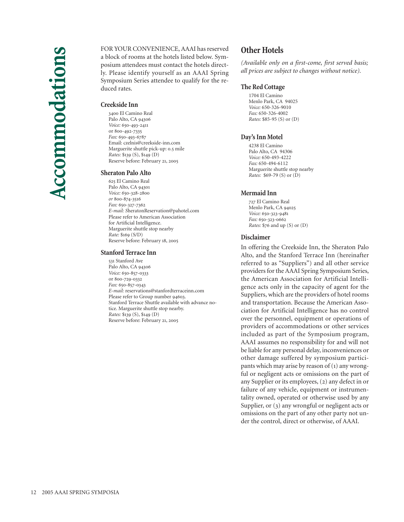FOR YOUR CONVENIENCE, AAAI has reserved a block of rooms at the hotels listed below. Symposium attendees must contact the hotels directly. Please identify yourself as an AAAI Spring Symposium Series attendee to qualify for the reduced rates.

#### **Creekside Inn**

 El Camino Real Palo Alto, CA 94306 *Voice*: 650-493-2411 or 800-492-7335 Fax: 650-493-6787 Email: czelnis@creekside-inn.com Marguerite shuttle pick-up: 0.5 mile *Rates:* \$139 (S), \$149 (D) Reserve before: February 21, 2005

#### **Sheraton Palo Alto**

 El Camino Real Palo Alto, CA 94301 Voice: 650-328-2800  $or$  800-874-3516 *Fax:* 650-327-7362 *E-mail: S*heratonReservation@pahotel.com Please refer to American Association for Artificial Intelligence. Marguerite shuttle stop nearby *Rate:* \$169 (S/D) Reserve before: February 18, 2005

#### **Stanford Terrace Inn**

531 Stanford Ave Palo Alto, CA 94306 Voice: 650-857-0333 or 800-729-0332 *Fax:* 650-857-0343 *E-mail:* reservations@stanfordterraceinn.com Please refer to Group number 94603. Stanford Terrace Shuttle available with advance notice. Marguerite shuttle stop nearby. *Rates:* \$139 (S), \$149 (D) Reserve before: February 21, 2005

#### **Other Hotels**

*(Available only on a first-come, first served basis; all prices are subject to changes without notice).*

#### **The Red Cottage**

1704 El Camino Menlo Park, CA 94025 *Voice:* 650-326-9010 *Fax:* 650-326-4002 *Rates:* \$85-95 (S) or (D)

#### **Day's Inn Motel**

4238 El Camino Palo Alto, CA 94306 *Voice:* 650-493-4222 *Fax:* 650-494-6112 Marguerite shuttle stop nearby *Rates:* \$69-79 (S) or (D)

#### **Mermaid Inn**

 El Camino Real Menlo Park, CA Voice: 650-323-9481 Fax: 650-323-0662 *Rates:* \$76 and up (S) or (D)

#### **Disclaimer**

In offering the Creekside Inn, the Sheraton Palo Alto, and the Stanford Terrace Inn (hereinafter referred to as "Suppliers") and all other service providers for the AAAI Spring Symposium Series, the American Association for Artificial Intelligence acts only in the capacity of agent for the Suppliers, which are the providers of hotel rooms and transportation. Because the American Association for Artificial Intelligence has no control over the personnel, equipment or operations of providers of accommodations or other services included as part of the Symposium program, AAAI assumes no responsibility for and will not be liable for any personal delay, inconveniences or other damage suffered by symposium participants which may arise by reason of  $(i)$  any wrongful or negligent acts or omissions on the part of any Supplier or its employees, (2) any defect in or failure of any vehicle, equipment or instrumentality owned, operated or otherwise used by any Supplier, or  $(3)$  any wrongful or negligent acts or omissions on the part of any other party not under the control, direct or otherwise, of AAAI.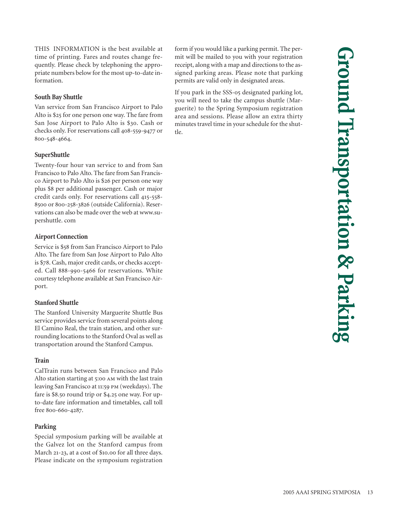THIS INFORMATION is the best available at time of printing. Fares and routes change frequently. Please check by telephoning the appropriate numbers below for the most up-to-date information.

#### **South Bay Shuttle**

Van service from San Francisco Airport to Palo Alto is  $$25$  for one person one way. The fare from San Jose Airport to Palo Alto is \$30. Cash or checks only. For reservations call 408-559-9477 or 800-548-4664.

#### **SuperShuttle**

Twenty-four hour van service to and from San Francisco to Palo Alto. The fare from San Francisco Airport to Palo Alto is \$26 per person one way plus \$8 per additional passenger. Cash or major credit cards only. For reservations call 415-558-8500 or 800-258-3826 (outside California). Reservations can also be made over the web at www.supershuttle. com

#### **Airport Connection**

Service is \$58 from San Francisco Airport to Palo Alto. The fare from San Jose Airport to Palo Alto is \$78. Cash, major credit cards, or checks accepted. Call 888-990-5466 for reservations. White courtesy telephone available at San Francisco Airport.

#### **Stanford Shuttle**

The Stanford University Marguerite Shuttle Bus service provides service from several points along El Camino Real, the train station, and other surrounding locations to the Stanford Oval as well as transportation around the Stanford Campus.

#### **Train**

CalTrain runs between San Francisco and Palo Alto station starting at 5:00 AM with the last train leaving San Francisco at 11:59 PM (weekdays). The fare is \$8.50 round trip or \$4.25 one way. For upto-date fare information and timetables, call toll free 800-660-4287.

#### **Parking**

Special symposium parking will be available at the Galvez lot on the Stanford campus from March 21-23, at a cost of \$10.00 for all three days. Please indicate on the symposium registration

form if you would like a parking permit. The permit will be mailed to you with your registration receipt, along with a map and directions to the assigned parking areas. Please note that parking permits are valid only in designated areas.

If you park in the SSS-05 designated parking lot, you will need to take the campus shuttle (Marguerite) to the Spring Symposium registration area and sessions. Please allow an extra thirty minutes travel time in your schedule for the shuttle.